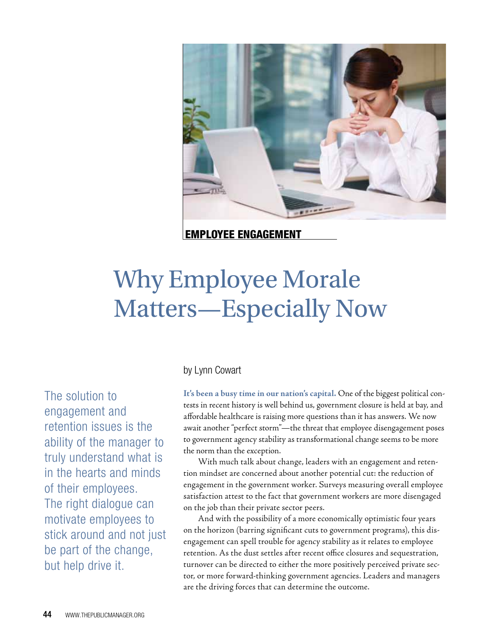

Employee Engagement

# Why Employee Morale Matters—Especially Now

by Lynn Cowart

The solution to engagement and retention issues is the ability of the manager to truly understand what is in the hearts and minds of their employees. The right dialogue can motivate employees to stick around and not just be part of the change, but help drive it.

**It's been a busy time in our nation's capital.** One of the biggest political contests in recent history is well behind us, government closure is held at bay, and affordable healthcare is raising more questions than it has answers. We now await another "perfect storm"—the threat that employee disengagement poses to government agency stability as transformational change seems to be more the norm than the exception.

With much talk about change, leaders with an engagement and retention mindset are concerned about another potential cut: the reduction of engagement in the government worker. Surveys measuring overall employee satisfaction attest to the fact that government workers are more disengaged on the job than their private sector peers.

And with the possibility of a more economically optimistic four years on the horizon (barring significant cuts to government programs), this disengagement can spell trouble for agency stability as it relates to employee retention. As the dust settles after recent office closures and sequestration, turnover can be directed to either the more positively perceived private sector, or more forward-thinking government agencies. Leaders and managers are the driving forces that can determine the outcome.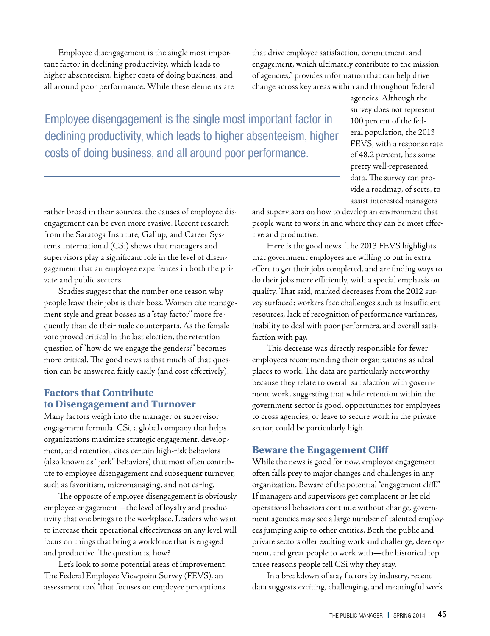Employee disengagement is the single most important factor in declining productivity, which leads to higher absenteeism, higher costs of doing business, and all around poor performance. While these elements are that drive employee satisfaction, commitment, and engagement, which ultimately contribute to the mission of agencies," provides information that can help drive change across key areas within and throughout federal

Employee disengagement is the single most important factor in declining productivity, which leads to higher absenteeism, higher costs of doing business, and all around poor performance.

agencies. Although the survey does not represent 100 percent of the federal population, the 2013 FEVS, with a response rate of 48.2 percent, has some pretty well-represented data. The survey can provide a roadmap, of sorts, to assist interested managers

rather broad in their sources, the causes of employee disengagement can be even more evasive. Recent research from the Saratoga Institute, Gallup, and Career Systems International (CSi) shows that managers and supervisors play a significant role in the level of disengagement that an employee experiences in both the private and public sectors.

Studies suggest that the number one reason why people leave their jobs is their boss. Women cite management style and great bosses as a "stay factor" more frequently than do their male counterparts. As the female vote proved critical in the last election, the retention question of "how do we engage the genders?" becomes more critical. The good news is that much of that question can be answered fairly easily (and cost effectively).

#### **Factors that Contribute to Disengagement and Turnover**

Many factors weigh into the manager or supervisor engagement formula. CSi, a global company that helps organizations maximize strategic engagement, development, and retention, cites certain high-risk behaviors (also known as " jerk" behaviors) that most often contribute to employee disengagement and subsequent turnover, such as favoritism, micromanaging, and not caring.

The opposite of employee disengagement is obviously employee engagement—the level of loyalty and productivity that one brings to the workplace. Leaders who want to increase their operational effectiveness on any level will focus on things that bring a workforce that is engaged and productive. The question is, how?

Let's look to some potential areas of improvement. The Federal Employee Viewpoint Survey (FEVS), an assessment tool "that focuses on employee perceptions

and supervisors on how to develop an environment that people want to work in and where they can be most effective and productive.

Here is the good news. The 2013 FEVS highlights that government employees are willing to put in extra effort to get their jobs completed, and are finding ways to do their jobs more efficiently, with a special emphasis on quality. That said, marked decreases from the 2012 survey surfaced: workers face challenges such as insufficient resources, lack of recognition of performance variances, inability to deal with poor performers, and overall satisfaction with pay.

This decrease was directly responsible for fewer employees recommending their organizations as ideal places to work. The data are particularly noteworthy because they relate to overall satisfaction with government work, suggesting that while retention within the government sector is good, opportunities for employees to cross agencies, or leave to secure work in the private sector, could be particularly high.

### **Beware the Engagement Cliff**

While the news is good for now, employee engagement often falls prey to major changes and challenges in any organization. Beware of the potential "engagement cliff." If managers and supervisors get complacent or let old operational behaviors continue without change, government agencies may see a large number of talented employees jumping ship to other entities. Both the public and private sectors offer exciting work and challenge, development, and great people to work with—the historical top three reasons people tell CSi why they stay.

In a breakdown of stay factors by industry, recent data suggests exciting, challenging, and meaningful work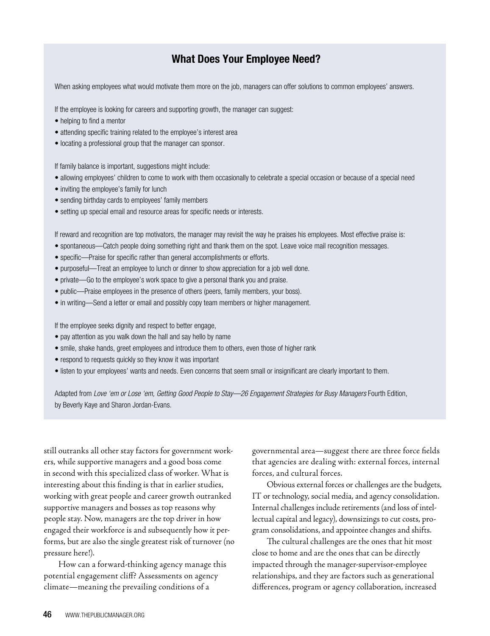## What Does Your Employee Need?

When asking employees what would motivate them more on the job, managers can offer solutions to common employees' answers.

If the employee is looking for careers and supporting growth, the manager can suggest:

- helping to find a mentor
- attending specific training related to the employee's interest area
- locating a professional group that the manager can sponsor.

If family balance is important, suggestions might include:

- allowing employees' children to come to work with them occasionally to celebrate a special occasion or because of a special need
- inviting the employee's family for lunch
- sending birthday cards to employees' family members
- setting up special email and resource areas for specific needs or interests.

If reward and recognition are top motivators, the manager may revisit the way he praises his employees. Most effective praise is:

- spontaneous—Catch people doing something right and thank them on the spot. Leave voice mail recognition messages.
- specific—Praise for specific rather than general accomplishments or efforts.
- purposeful—Treat an employee to lunch or dinner to show appreciation for a job well done.
- private—Go to the employee's work space to give a personal thank you and praise.
- public—Praise employees in the presence of others (peers, family members, your boss).
- in writing—Send a letter or email and possibly copy team members or higher management.

If the employee seeks dignity and respect to better engage,

- pay attention as you walk down the hall and say hello by name
- smile, shake hands, greet employees and introduce them to others, even those of higher rank
- respond to requests quickly so they know it was important
- listen to your employees' wants and needs. Even concerns that seem small or insignificant are clearly important to them.

Adapted from *Love 'em or Lose 'em, Getting Good People to Stay—26 Engagement Strategies for Busy Managers* Fourth Edition, by Beverly Kaye and Sharon Jordan-Evans.

still outranks all other stay factors for government workers, while supportive managers and a good boss come in second with this specialized class of worker. What is interesting about this finding is that in earlier studies, working with great people and career growth outranked supportive managers and bosses as top reasons why people stay. Now, managers are the top driver in how engaged their workforce is and subsequently how it performs, but are also the single greatest risk of turnover (no pressure here!).

How can a forward-thinking agency manage this potential engagement cliff? Assessments on agency climate—meaning the prevailing conditions of a

governmental area—suggest there are three force fields that agencies are dealing with: external forces, internal forces, and cultural forces.

Obvious external forces or challenges are the budgets, IT or technology, social media, and agency consolidation. Internal challenges include retirements (and loss of intellectual capital and legacy), downsizings to cut costs, program consolidations, and appointee changes and shifts.

The cultural challenges are the ones that hit most close to home and are the ones that can be directly impacted through the manager-supervisor-employee relationships, and they are factors such as generational differences, program or agency collaboration, increased